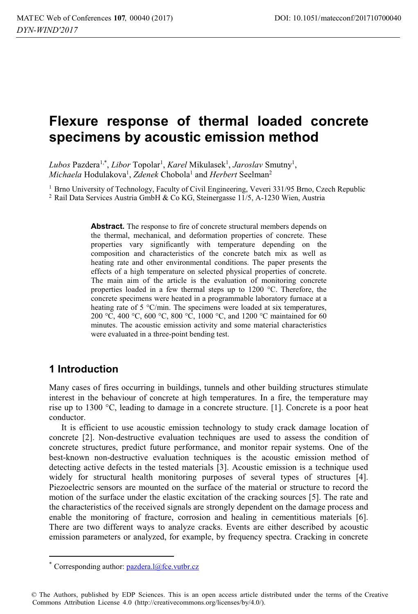# **Flexure response of thermal loaded concrete specimens by acoustic emission method**

Lubos Pazdera<sup>1,\*</sup>, *Libor* Topolar<sup>1</sup>, *Karel* Mikulasek<sup>1</sup>, *Jaroslav* Smutny<sup>1</sup>, *Michaela* Hodulakova<sup>1</sup>, *Zdenek* Chobola<sup>1</sup> and *Herbert* Seelman<sup>2</sup>

<sup>1</sup> Brno University of Technology, Faculty of Civil Engineering, Veveri 331/95 Brno, Czech Republic <sup>2</sup> Rail Data Services Austria GmbH & Co KG, Steinergasse 11/5, A-1230 Wien, Austria

**Abstract.** The response to fire of concrete structural members depends on the thermal, mechanical, and deformation properties of concrete. These properties vary significantly with temperature depending on the composition and characteristics of the concrete batch mix as well as heating rate and other environmental conditions. The paper presents the effects of a high temperature on selected physical properties of concrete. The main aim of the article is the evaluation of monitoring concrete properties loaded in a few thermal steps up to 1200 °C. Therefore, the concrete specimens were heated in a programmable laboratory furnace at a heating rate of 5 °C/min. The specimens were loaded at six temperatures, 200 °C, 400 °C, 600 °C, 800 °C, 1000 °C, and 1200 °C maintained for 60 minutes. The acoustic emission activity and some material characteristics were evaluated in a three-point bending test.

# **1 Introduction**

 $\overline{a}$ 

Many cases of fires occurring in buildings, tunnels and other building structures stimulate interest in the behaviour of concrete at high temperatures. In a fire, the temperature may rise up to 1300 °C, leading to damage in a concrete structure. [1]. Concrete is a poor heat conductor.

It is efficient to use acoustic emission technology to study crack damage location of concrete [2]. Non-destructive evaluation techniques are used to assess the condition of concrete structures, predict future performance, and monitor repair systems. One of the best-known non-destructive evaluation techniques is the acoustic emission method of detecting active defects in the tested materials [3]. Acoustic emission is a technique used widely for structural health monitoring purposes of several types of structures [4]. Piezoelectric sensors are mounted on the surface of the material or structure to record the motion of the surface under the elastic excitation of the cracking sources [5]. The rate and the characteristics of the received signals are strongly dependent on the damage process and enable the monitoring of fracture, corrosion and healing in cementitious materials [6]. There are two different ways to analyze cracks. Events are either described by acoustic emission parameters or analyzed, for example, by frequency spectra. Cracking in concrete

<sup>\*</sup> Corresponding author:  $pazdera.l@fce.vubr.cz$ 

<sup>©</sup> The Authors, published by EDP Sciences. This is an open access article distributed under the terms of the Creative Commons Attribution License 4.0 (http://creativecommons.org/licenses/by/4.0/).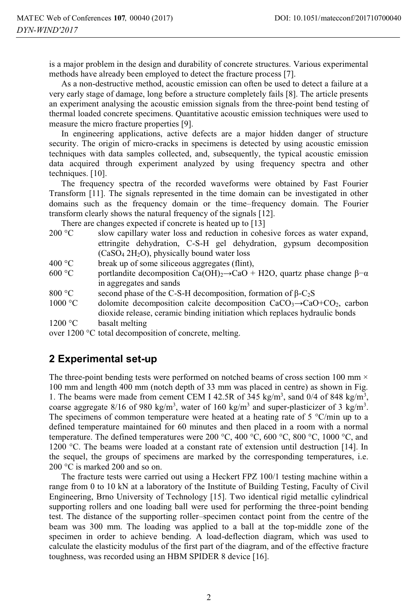is a major problem in the design and durability of concrete structures. Various experimental methods have already been employed to detect the fracture process [7].

As a non-destructive method, acoustic emission can often be used to detect a failure at a very early stage of damage, long before a structure completely fails [8]. The article presents an experiment analysing the acoustic emission signals from the three-point bend testing of thermal loaded concrete specimens. Quantitative acoustic emission techniques were used to measure the micro fracture properties [9].

In engineering applications, active defects are a major hidden danger of structure security. The origin of micro-cracks in specimens is detected by using acoustic emission techniques with data samples collected, and, subsequently, the typical acoustic emission data acquired through experiment analyzed by using frequency spectra and other techniques. [10].

The frequency spectra of the recorded waveforms were obtained by Fast Fourier Transform [11]. The signals represented in the time domain can be investigated in other domains such as the frequency domain or the time–frequency domain. The Fourier transform clearly shows the natural frequency of the signals [12].

There are changes expected if concrete is heated up to [13]

| 200 °C  | slow capillary water loss and reduction in cohesive forces as water expand,                                   |  |  |  |  |  |  |
|---------|---------------------------------------------------------------------------------------------------------------|--|--|--|--|--|--|
|         | ettringite dehydration, C-S-H gel dehydration, gypsum decomposition                                           |  |  |  |  |  |  |
|         | $(CaSO4 2H2O)$ , physically bound water loss                                                                  |  |  |  |  |  |  |
| 400 °C  | break up of some siliceous aggregates (flint),                                                                |  |  |  |  |  |  |
| 600 °C  | portlandite decomposition Ca(OH) <sub>2</sub> $\rightarrow$ CaO + H2O, quartz phase change $\beta$ - $\alpha$ |  |  |  |  |  |  |
|         | in aggregates and sands                                                                                       |  |  |  |  |  |  |
| 800 °C  | second phase of the C-S-H decomposition, formation of $\beta$ -C <sub>2</sub> S                               |  |  |  |  |  |  |
| 1000 °C | dolomite decomposition calcite decomposition $CaCO3 \rightarrow CaO + CO2$ , carbon                           |  |  |  |  |  |  |
|         | dioxide release, ceramic binding initiation which replaces hydraulic bonds                                    |  |  |  |  |  |  |
| 1200 °C | basalt melting                                                                                                |  |  |  |  |  |  |

over 1200 °C total decomposition of concrete, melting.

### **2 Experimental set-up**

The three-point bending tests were performed on notched beams of cross section 100 mm  $\times$ 100 mm and length 400 mm (notch depth of 33 mm was placed in centre) as shown in Fig. 1. The beams were made from cement CEM I 42.5R of 345 kg/m<sup>3</sup>, sand 0/4 of 848 kg/m<sup>3</sup>, coarse aggregate 8/16 of 980 kg/m<sup>3</sup>, water of 160 kg/m<sup>3</sup> and super-plasticizer of 3 kg/m<sup>3</sup>. The specimens of common temperature were heated at a heating rate of 5 °C/min up to a defined temperature maintained for 60 minutes and then placed in a room with a normal temperature. The defined temperatures were 200 °C, 400 °C, 600 °C, 800 °C, 1000 °C, and 1200 °C. The beams were loaded at a constant rate of extension until destruction [14]. In the sequel, the groups of specimens are marked by the corresponding temperatures, i.e. 200 °C is marked 200 and so on.

The fracture tests were carried out using a Heckert FPZ 100/1 testing machine within a range from 0 to 10 kN at a laboratory of the Institute of Building Testing, Faculty of Civil Engineering, Brno University of Technology [15]. Two identical rigid metallic cylindrical supporting rollers and one loading ball were used for performing the three-point bending test. The distance of the supporting roller–specimen contact point from the centre of the beam was 300 mm. The loading was applied to a ball at the top-middle zone of the specimen in order to achieve bending. A load-deflection diagram, which was used to calculate the elasticity modulus of the first part of the diagram, and of the effective fracture toughness, was recorded using an HBM SPIDER 8 device [16].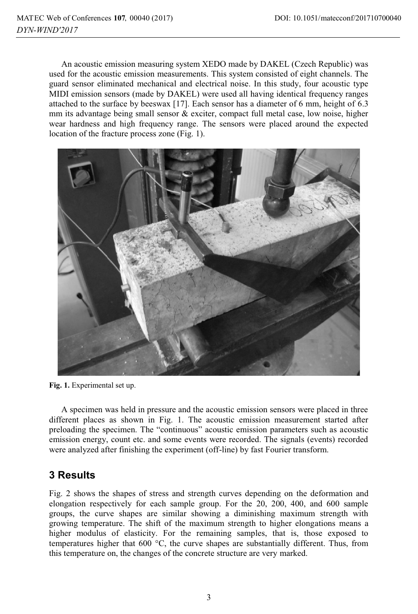An acoustic emission measuring system XEDO made by DAKEL (Czech Republic) was used for the acoustic emission measurements. This system consisted of eight channels. The guard sensor eliminated mechanical and electrical noise. In this study, four acoustic type MIDI emission sensors (made by DAKEL) were used all having identical frequency ranges attached to the surface by beeswax [17]. Each sensor has a diameter of 6 mm, height of 6.3 mm its advantage being small sensor & exciter, compact full metal case, low noise, higher wear hardness and high frequency range. The sensors were placed around the expected location of the fracture process zone (Fig. 1).



**Fig. 1.** Experimental set up.

A specimen was held in pressure and the acoustic emission sensors were placed in three different places as shown in Fig. 1. The acoustic emission measurement started after preloading the specimen. The "continuous" acoustic emission parameters such as acoustic emission energy, count etc. and some events were recorded. The signals (events) recorded were analyzed after finishing the experiment (off-line) by fast Fourier transform.

# **3 Results**

Fig. 2 shows the shapes of stress and strength curves depending on the deformation and elongation respectively for each sample group. For the 20, 200, 400, and 600 sample groups, the curve shapes are similar showing a diminishing maximum strength with growing temperature. The shift of the maximum strength to higher elongations means a higher modulus of elasticity. For the remaining samples, that is, those exposed to temperatures higher that 600 °C, the curve shapes are substantially different. Thus, from this temperature on, the changes of the concrete structure are very marked.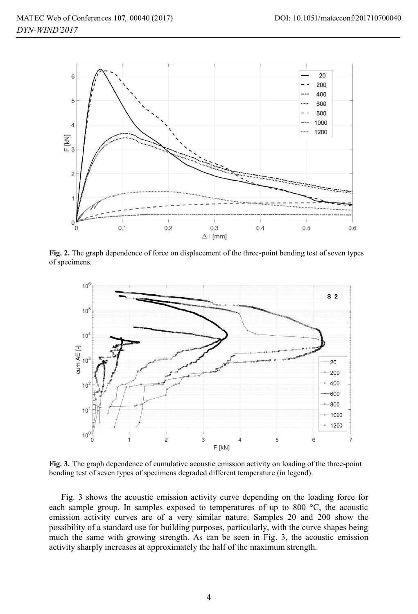

**Fig. 2.** The graph dependence of force on displacement of the three-point bending test of seven types of specimens.



**Fig. 3.** The graph dependence of cumulative acoustic emission activity on loading of the three-point bending test of seven types of specimens degraded different temperature (in legend).

Fig. 3 shows the acoustic emission activity curve depending on the loading force for each sample group. In samples exposed to temperatures of up to 800 °C, the acoustic emission activity curves are of a very similar nature. Samples 20 and 200 show the possibility of a standard use for building purposes, particularly, with the curve shapes being much the same with growing strength. As can be seen in Fig. 3, the acoustic emission activity sharply increases at approximately the half of the maximum strength.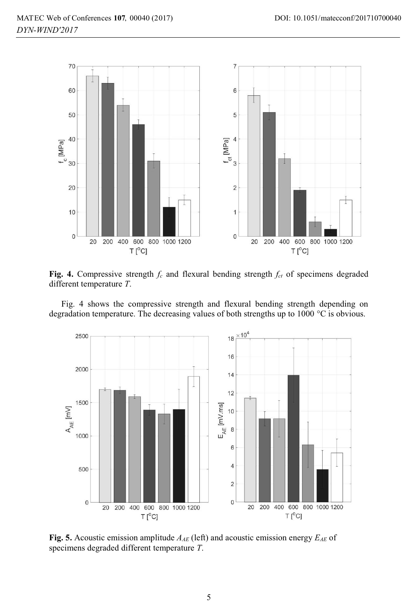

**Fig. 4.** Compressive strength  $f_c$  and flexural bending strength  $f_{ct}$  of specimens degraded different temperature *T*.

Fig. 4 shows the compressive strength and flexural bending strength depending on degradation temperature. The decreasing values of both strengths up to 1000 °C is obvious.



**Fig. 5.** Acoustic emission amplitude *AAE* (left) and acoustic emission energy *EAE* of specimens degraded different temperature *T*.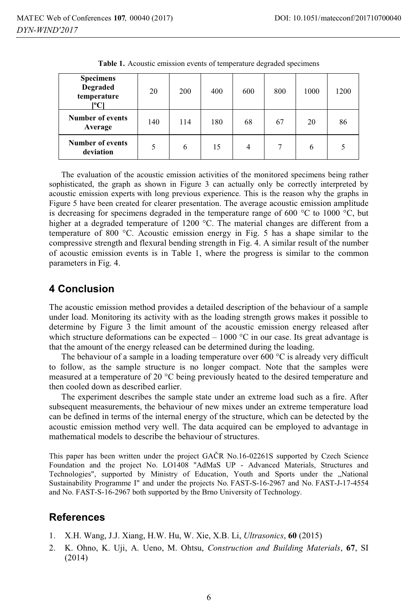| <b>Specimens</b><br>Degraded<br>temperature<br>[°C] | 20  | 200 | 400 | 600            | 800 | 1000 | 1200 |
|-----------------------------------------------------|-----|-----|-----|----------------|-----|------|------|
| <b>Number of events</b><br>Average                  | 140 | 114 | 180 | 68             | 67  | 20   | 86   |
| <b>Number of events</b><br>deviation                | 5   | 6   | 15  | $\overline{4}$ | 7   | 6    | 5    |

**Table 1.** Acoustic emission events of temperature degraded specimens

The evaluation of the acoustic emission activities of the monitored specimens being rather sophisticated, the graph as shown in Figure 3 can actually only be correctly interpreted by acoustic emission experts with long previous experience. This is the reason why the graphs in Figure 5 have been created for clearer presentation. The average acoustic emission amplitude is decreasing for specimens degraded in the temperature range of 600 °C to 1000 °C, but higher at a degraded temperature of 1200 °C. The material changes are different from a temperature of 800 °C. Acoustic emission energy in Fig. 5 has a shape similar to the compressive strength and flexural bending strength in Fig. 4. A similar result of the number of acoustic emission events is in Table 1, where the progress is similar to the common parameters in Fig. 4.

#### **4 Conclusion**

The acoustic emission method provides a detailed description of the behaviour of a sample under load. Monitoring its activity with as the loading strength grows makes it possible to determine by Figure 3 the limit amount of the acoustic emission energy released after which structure deformations can be expected  $-1000$  °C in our case. Its great advantage is that the amount of the energy released can be determined during the loading.

The behaviour of a sample in a loading temperature over 600  $^{\circ}$ C is already very difficult to follow, as the sample structure is no longer compact. Note that the samples were measured at a temperature of 20 °C being previously heated to the desired temperature and then cooled down as described earlier.

The experiment describes the sample state under an extreme load such as a fire. After subsequent measurements, the behaviour of new mixes under an extreme temperature load can be defined in terms of the internal energy of the structure, which can be detected by the acoustic emission method very well. The data acquired can be employed to advantage in mathematical models to describe the behaviour of structures.

This paper has been written under the project GAČR No.16-02261S supported by Czech Science Foundation and the project No. LO1408 "AdMaS UP - Advanced Materials, Structures and Technologies", supported by Ministry of Education, Youth and Sports under the "National Sustainability Programme I" and under the projects No. FAST-S-16-2967 and No. FAST-J-17-4554 and No. FAST-S-16-2967 both supported by the Brno University of Technology.

#### **References**

- 1. X.H. Wang, J.J. Xiang, H.W. Hu, W. Xie, X.B. Li, *Ultrasonics*, **60** (2015)
- 2. K. Ohno, K. Uji, A. Ueno, M. Ohtsu, *Construction and Building Materials*, **67**, SI (2014)